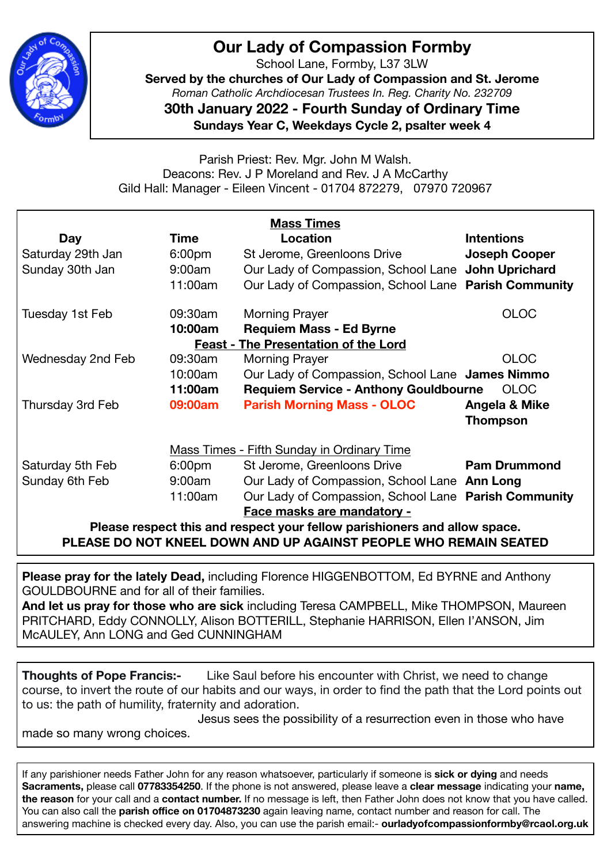

## **Our Lady of Compassion Formby**

School Lane, Formby, L37 3LW

**Served by the churches of Our Lady of Compassion and St. Jerome**  *Roman Catholic Archdiocesan Trustees In. Reg. Charity No. 232709* 

**30th January 2022 - Fourth Sunday of Ordinary Time Sundays Year C, Weekdays Cycle 2, psalter week 4** 

Parish Priest: Rev. Mgr. John M Walsh. Deacons: Rev. J P Moreland and Rev. J A McCarthy Gild Hall: Manager - Eileen Vincent - 01704 872279, 07970 720967

| <b>Mass Times</b>                                                         |                    |                                                      |                      |
|---------------------------------------------------------------------------|--------------------|------------------------------------------------------|----------------------|
| Day                                                                       | Time               | <b>Location</b>                                      | <b>Intentions</b>    |
| Saturday 29th Jan                                                         | 6:00 <sub>pm</sub> | St Jerome, Greenloons Drive                          | <b>Joseph Cooper</b> |
| Sunday 30th Jan                                                           | 9:00am             | Our Lady of Compassion, School Lane John Uprichard   |                      |
|                                                                           | 11:00am            | Our Lady of Compassion, School Lane Parish Community |                      |
| Tuesday 1st Feb                                                           | 09:30am            | <b>Morning Prayer</b>                                | <b>OLOC</b>          |
|                                                                           | 10:00am            | <b>Requiem Mass - Ed Byrne</b>                       |                      |
| <b>Feast - The Presentation of the Lord</b>                               |                    |                                                      |                      |
| Wednesday 2nd Feb                                                         | 09:30am            | <b>Morning Prayer</b>                                | <b>OLOC</b>          |
|                                                                           | 10:00am            | Our Lady of Compassion, School Lane James Nimmo      |                      |
|                                                                           | 11:00am            | <b>Requiem Service - Anthony Gouldbourne</b>         | <b>OLOC</b>          |
| Thursday 3rd Feb                                                          | 09:00am            | <b>Parish Morning Mass - OLOC</b>                    | Angela & Mike        |
|                                                                           |                    |                                                      | <b>Thompson</b>      |
| <b>Mass Times - Fifth Sunday in Ordinary Time</b>                         |                    |                                                      |                      |
| Saturday 5th Feb                                                          | 6:00 <sub>pm</sub> | St Jerome, Greenloons Drive                          | <b>Pam Drummond</b>  |
| Sunday 6th Feb                                                            | 9:00am             | Our Lady of Compassion, School Lane Ann Long         |                      |
|                                                                           | 11:00am            | Our Lady of Compassion, School Lane Parish Community |                      |
|                                                                           |                    | Face masks are mandatory -                           |                      |
| Please respect this and respect your fellow parishioners and allow space. |                    |                                                      |                      |
| PLEASE DO NOT KNEEL DOWN AND UP AGAINST PEOPLE WHO REMAIN SEATED          |                    |                                                      |                      |

**Please pray for the lately Dead,** including Florence HIGGENBOTTOM, Ed BYRNE and Anthony GOULDBOURNE and for all of their families.

**And let us pray for those who are sick** including Teresa CAMPBELL, Mike THOMPSON, Maureen PRITCHARD, Eddy CONNOLLY, Alison BOTTERILL, Stephanie HARRISON, Ellen I'ANSON, Jim McAULEY, Ann LONG and Ged CUNNINGHAM

**Thoughts of Pope Francis:-** Like Saul before his encounter with Christ, we need to change course, to invert the route of our habits and our ways, in order to find the path that the Lord points out to us: the path of humility, fraternity and adoration.

 Jesus sees the possibility of a resurrection even in those who have made so many wrong choices.

If any parishioner needs Father John for any reason whatsoever, particularly if someone is **sick or dying** and needs **Sacraments,** please call **07783354250**. If the phone is not answered, please leave a **clear message** indicating your **name, the reason** for your call and a **contact number.** If no message is left, then Father John does not know that you have called. You can also call the **parish office on 01704873230** again leaving name, contact number and reason for call. The answering machine is checked every day. Also, you can use the parish email:- **ourladyofcompassionformby@rcaol.org.uk**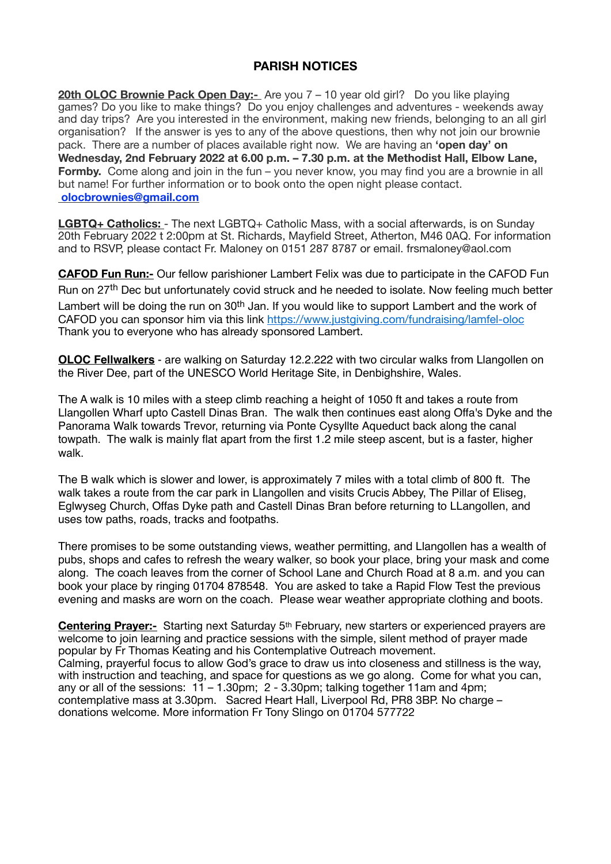## **PARISH NOTICES**

**20th OLOC Brownie Pack Open Day:-** Are you 7 – 10 year old girl? Do you like playing games? Do you like to make things? Do you enjoy challenges and adventures - weekends away and day trips? Are you interested in the environment, making new friends, belonging to an all girl organisation? If the answer is yes to any of the above questions, then why not join our brownie pack. There are a number of places available right now. We are having an **'open day' on Wednesday, 2nd February 2022 at 6.00 p.m. – 7.30 p.m. at the Methodist Hall, Elbow Lane, Formby.** Come along and join in the fun – you never know, you may find you are a brownie in all but name! For further information or to book onto the open night please contact. **[olocbrownies@gmail.com](mailto:olocbrownies@gmail.com)**

**LGBTQ+ Catholics:** - The next LGBTQ+ Catholic Mass, with a social afterwards, is on Sunday 20th February 2022 t 2:00pm at St. Richards, Mayfield Street, Atherton, M46 0AQ. For information and to RSVP, please contact Fr. Maloney on 0151 287 8787 or email. frsmaloney@aol.com

**CAFOD Fun Run:-** Our fellow parishioner Lambert Felix was due to participate in the CAFOD Fun Run on 27<sup>th</sup> Dec but unfortunately covid struck and he needed to isolate. Now feeling much better Lambert will be doing the run on 30<sup>th</sup> Jan. If you would like to support Lambert and the work of CAFOD you can sponsor him via this link [https://www.justgiving.com/fundraising/lamfel-oloc](https://linkprotect.cudasvc.com/url?a=https%3a%2f%2fwww.justgiving.com%2ffundraising%2flamfel-oloc&c=E,1,hhcZZdi2UEs5KNjtUyENz4QWqxuuyTuN8HyCAfsZs3b2ncVaK2fHbQEfsfRbDU7kz7g2ZyjQVuW9WRmqhafdrW6eUIedA58oiq2EF1SGkw,,&typo=1) Thank you to everyone who has already sponsored Lambert.

**OLOC Fellwalkers** - are walking on Saturday 12.2.222 with two circular walks from Llangollen on the River Dee, part of the UNESCO World Heritage Site, in Denbighshire, Wales.

The A walk is 10 miles with a steep climb reaching a height of 1050 ft and takes a route from Llangollen Wharf upto Castell Dinas Bran. The walk then continues east along Offa's Dyke and the Panorama Walk towards Trevor, returning via Ponte Cysyllte Aqueduct back along the canal towpath. The walk is mainly flat apart from the first 1.2 mile steep ascent, but is a faster, higher walk.

The B walk which is slower and lower, is approximately 7 miles with a total climb of 800 ft. The walk takes a route from the car park in Llangollen and visits Crucis Abbey, The Pillar of Eliseg, Eglwyseg Church, Offas Dyke path and Castell Dinas Bran before returning to LLangollen, and uses tow paths, roads, tracks and footpaths.

There promises to be some outstanding views, weather permitting, and Llangollen has a wealth of pubs, shops and cafes to refresh the weary walker, so book your place, bring your mask and come along. The coach leaves from the corner of School Lane and Church Road at 8 a.m. and you can book your place by ringing 01704 878548. You are asked to take a Rapid Flow Test the previous evening and masks are worn on the coach. Please wear weather appropriate clothing and boots.

**Centering Prayer:-** Starting next Saturday 5<sup>th</sup> February, new starters or experienced prayers are welcome to join learning and practice sessions with the simple, silent method of prayer made popular by Fr Thomas Keating and his Contemplative Outreach movement. Calming, prayerful focus to allow God's grace to draw us into closeness and stillness is the way, with instruction and teaching, and space for questions as we go along. Come for what you can, any or all of the sessions:  $11 - 1.30$ pm;  $2 - 3.30$ pm; talking together 11am and 4pm; contemplative mass at 3.30pm. Sacred Heart Hall, Liverpool Rd, PR8 3BP. No charge – donations welcome. More information Fr Tony Slingo on 01704 577722